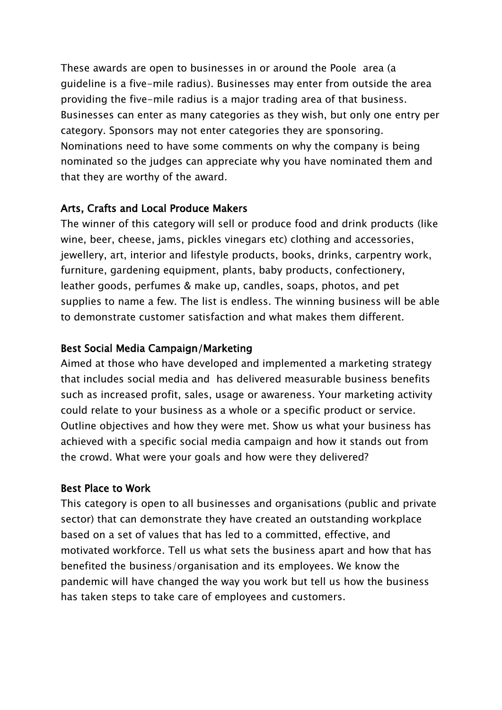These awards are open to businesses in or around the Poole area (a guideline is a five-mile radius). Businesses may enter from outside the area providing the five-mile radius is a major trading area of that business. Businesses can enter as many categories as they wish, but only one entry per category. Sponsors may not enter categories they are sponsoring. Nominations need to have some comments on why the company is being nominated so the judges can appreciate why you have nominated them and that they are worthy of the award.

#### Arts, Crafts and Local Produce Makers

The winner of this category will sell or produce food and drink products (like wine, beer, cheese, jams, pickles vinegars etc) clothing and accessories, jewellery, art, interior and lifestyle products, books, drinks, carpentry work, furniture, gardening equipment, plants, baby products, confectionery, leather goods, perfumes & make up, candles, soaps, photos, and pet supplies to name a few. The list is endless. The winning business will be able to demonstrate customer satisfaction and what makes them different.

#### Best Social Media Campaign/Marketing

Aimed at those who have developed and implemented a marketing strategy that includes social media and has delivered measurable business benefits such as increased profit, sales, usage or awareness. Your marketing activity could relate to your business as a whole or a specific product or service. Outline objectives and how they were met. Show us what your business has achieved with a specific social media campaign and how it stands out from the crowd. What were your goals and how were they delivered?

#### Best Place to Work

This category is open to all businesses and organisations (public and private sector) that can demonstrate they have created an outstanding workplace based on a set of values that has led to a committed, effective, and motivated workforce. Tell us what sets the business apart and how that has benefited the business/organisation and its employees. We know the pandemic will have changed the way you work but tell us how the business has taken steps to take care of employees and customers.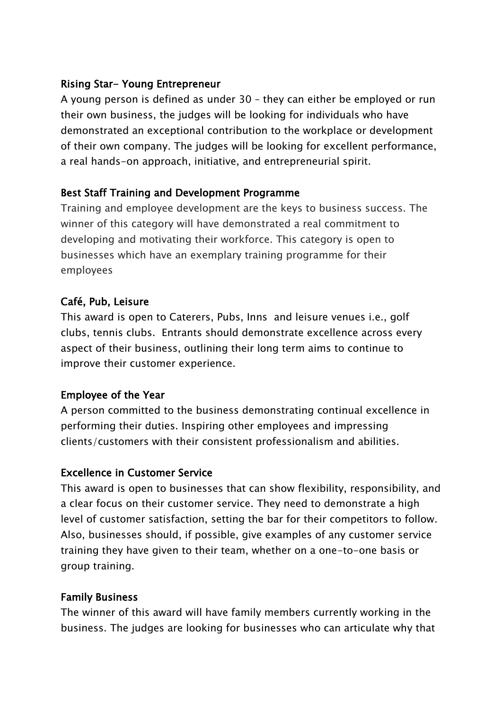# Rising Star- Young Entrepreneur

A young person is defined as under 30 – they can either be employed or run their own business, the judges will be looking for individuals who have demonstrated an exceptional contribution to the workplace or development of their own company. The judges will be looking for excellent performance, a real hands-on approach, initiative, and entrepreneurial spirit.

# Best Staff Training and Development Programme

Training and employee development are the keys to business success. The winner of this category will have demonstrated a real commitment to developing and motivating their workforce. This category is open to businesses which have an exemplary training programme for their employees

# Café, Pub, Leisure

This award is open to Caterers, Pubs, Inns and leisure venues i.e., golf clubs, tennis clubs. Entrants should demonstrate excellence across every aspect of their business, outlining their long term aims to continue to improve their customer experience.

# Employee of the Year

A person committed to the business demonstrating continual excellence in performing their duties. Inspiring other employees and impressing clients/customers with their consistent professionalism and abilities.

# Excellence in Customer Service

This award is open to businesses that can show flexibility, responsibility, and a clear focus on their customer service. They need to demonstrate a high level of customer satisfaction, setting the bar for their competitors to follow. Also, businesses should, if possible, give examples of any customer service training they have given to their team, whether on a one-to-one basis or group training.

# Family Business

The winner of this award will have family members currently working in the business. The judges are looking for businesses who can articulate why that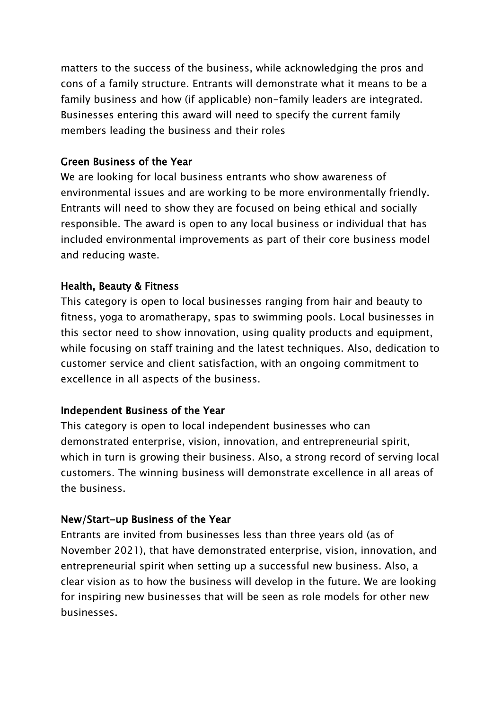matters to the success of the business, while acknowledging the pros and cons of a family structure. Entrants will demonstrate what it means to be a family business and how (if applicable) non-family leaders are integrated. Businesses entering this award will need to specify the current family members leading the business and their roles

#### Green Business of the Year

We are looking for local business entrants who show awareness of environmental issues and are working to be more environmentally friendly. Entrants will need to show they are focused on being ethical and socially responsible. The award is open to any local business or individual that has included environmental improvements as part of their core business model and reducing waste.

#### Health, Beauty & Fitness

This category is open to local businesses ranging from hair and beauty to fitness, yoga to aromatherapy, spas to swimming pools. Local businesses in this sector need to show innovation, using quality products and equipment, while focusing on staff training and the latest techniques. Also, dedication to customer service and client satisfaction, with an ongoing commitment to excellence in all aspects of the business.

#### Independent Business of the Year

This category is open to local independent businesses who can demonstrated enterprise, vision, innovation, and entrepreneurial spirit, which in turn is growing their business. Also, a strong record of serving local customers. The winning business will demonstrate excellence in all areas of the business.

#### New/Start-up Business of the Year

Entrants are invited from businesses less than three years old (as of November 2021), that have demonstrated enterprise, vision, innovation, and entrepreneurial spirit when setting up a successful new business. Also, a clear vision as to how the business will develop in the future. We are looking for inspiring new businesses that will be seen as role models for other new businesses.